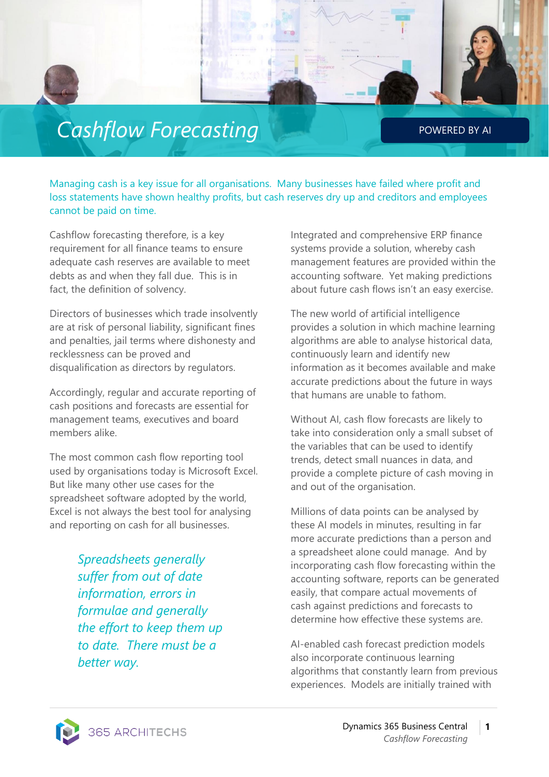## **Cashflow Forecasting** POWERED BY AI

Managing cash is a key issue for all organisations. Many businesses have failed where profit and loss statements have shown healthy profits, but cash reserves dry up and creditors and employees cannot be paid on time.

Cashflow forecasting therefore, is a key requirement for all finance teams to ensure adequate cash reserves are available to meet debts as and when they fall due. This is in fact, the definition of solvency.

Directors of businesses which trade insolvently are at risk of personal liability, significant fines and penalties, jail terms where dishonesty and recklessness can be proved and disqualification as directors by regulators.

Accordingly, regular and accurate reporting of cash positions and forecasts are essential for management teams, executives and board members alike.

The most common cash flow reporting tool used by organisations today is Microsoft Excel. But like many other use cases for the spreadsheet software adopted by the world, Excel is not always the best tool for analysing and reporting on cash for all businesses.

> *Spreadsheets generally suffer from out of date information, errors in formulae and generally the effort to keep them up to date. There must be a better way.*

Integrated and comprehensive ERP finance systems provide a solution, whereby cash management features are provided within the accounting software. Yet making predictions about future cash flows isn't an easy exercise.

The new world of artificial intelligence provides a solution in which machine learning algorithms are able to analyse historical data, continuously learn and identify new information as it becomes available and make accurate predictions about the future in ways that humans are unable to fathom.

Without AI, cash flow forecasts are likely to take into consideration only a small subset of the variables that can be used to identify trends, detect small nuances in data, and provide a complete picture of cash moving in and out of the organisation.

Millions of data points can be analysed by these AI models in minutes, resulting in far more accurate predictions than a person and a spreadsheet alone could manage. And by incorporating cash flow forecasting within the accounting software, reports can be generated easily, that compare actual movements of cash against predictions and forecasts to determine how effective these systems are.

AI-enabled cash forecast prediction models also incorporate continuous learning algorithms that constantly learn from previous experiences. Models are initially trained with

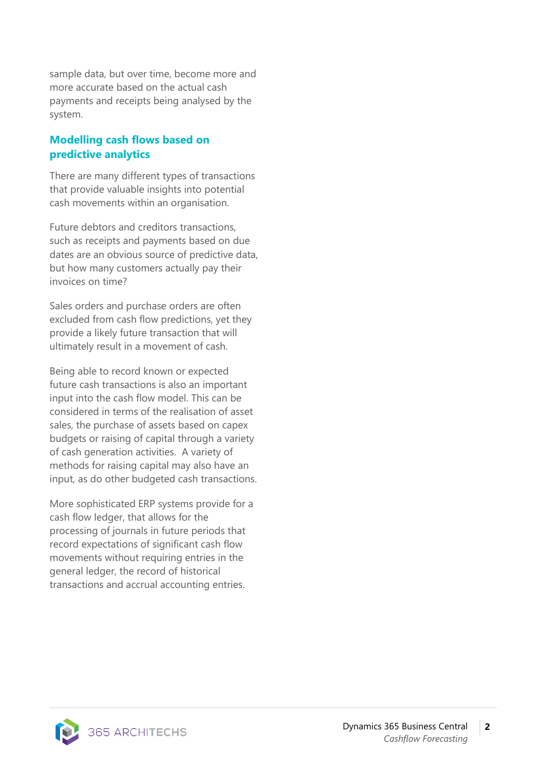sample data, but over time, become more and more accurate based on the actual cash payments and receipts being analysed by the system.

## **Modelling cash flows based on predictive analytics**

There are many different types of transactions that provide valuable insights into potential cash movements within an organisation.

Future debtors and creditors transactions, such as receipts and payments based on due dates are an obvious source of predictive data, but how many customers actually pay their invoices on time?

Sales orders and purchase orders are often excluded from cash flow predictions, yet they provide a likely future transaction that will ultimately result in a movement of cash.

Being able to record known or expected future cash transactions is also an important input into the cash flow model. This can be considered in terms of the realisation of asset sales, the purchase of assets based on capex budgets or raising of capital through a variety of cash generation activities. A variety of methods for raising capital may also have an input, as do other budgeted cash transactions.

More sophisticated ERP systems provide for a cash flow ledger, that allows for the processing of journals in future periods that record expectations of significant cash flow movements without requiring entries in the general ledger, the record of historical transactions and accrual accounting entries.